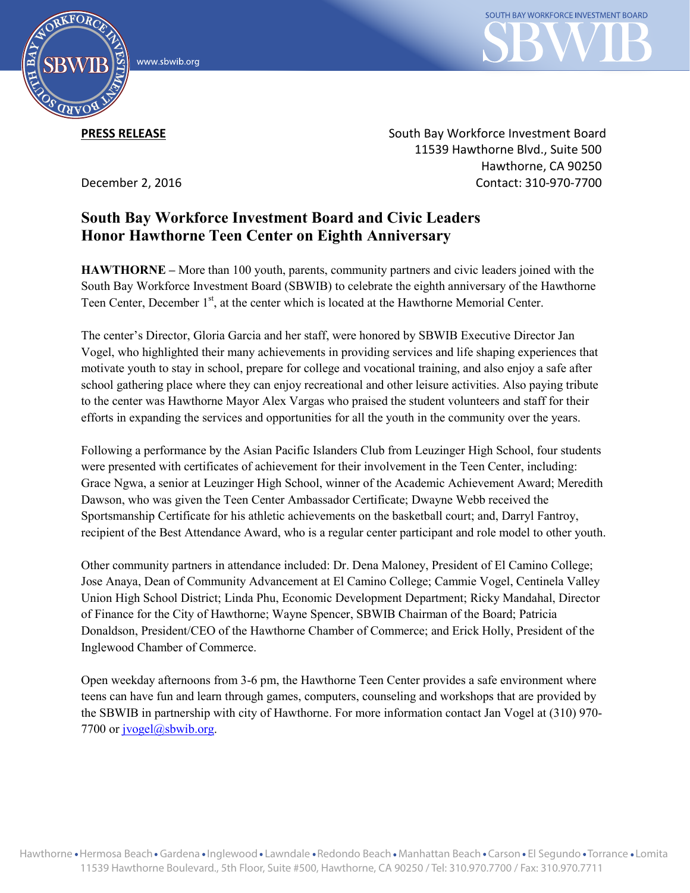



**PRESS RELEASE**

December 2, 2016

South Bay Workforce Investment Board 11539 Hawthorne Blvd., Suite 500 Hawthorne, CA 90250 Contact: 310-970-7700

## **South Bay Workforce Investment Board and Civic Leaders Honor Hawthorne Teen Center on Eighth Anniversary**

**HAWTHORNE –** More than 100 youth, parents, community partners and civic leaders joined with the South Bay Workforce Investment Board (SBWIB) to celebrate the eighth anniversary of the Hawthorne Teen Center, December 1<sup>st</sup>, at the center which is located at the Hawthorne Memorial Center.

The center's Director, Gloria Garcia and her staff, were honored by SBWIB Executive Director Jan Vogel, who highlighted their many achievements in providing services and life shaping experiences that motivate youth to stay in school, prepare for college and vocational training, and also enjoy a safe after school gathering place where they can enjoy recreational and other leisure activities. Also paying tribute to the center was Hawthorne Mayor Alex Vargas who praised the student volunteers and staff for their efforts in expanding the services and opportunities for all the youth in the community over the years.

Following a performance by the Asian Pacific Islanders Club from Leuzinger High School, four students were presented with certificates of achievement for their involvement in the Teen Center, including: Grace Ngwa, a senior at Leuzinger High School, winner of the Academic Achievement Award; Meredith Dawson, who was given the Teen Center Ambassador Certificate; Dwayne Webb received the Sportsmanship Certificate for his athletic achievements on the basketball court; and, Darryl Fantroy, recipient of the Best Attendance Award, who is a regular center participant and role model to other youth.

Other community partners in attendance included: Dr. Dena Maloney, President of El Camino College; Jose Anaya, Dean of Community Advancement at El Camino College; Cammie Vogel, Centinela Valley Union High School District; Linda Phu, Economic Development Department; Ricky Mandahal, Director of Finance for the City of Hawthorne; Wayne Spencer, SBWIB Chairman of the Board; Patricia Donaldson, President/CEO of the Hawthorne Chamber of Commerce; and Erick Holly, President of the Inglewood Chamber of Commerce.

Open weekday afternoons from 3-6 pm, the Hawthorne Teen Center provides a safe environment where teens can have fun and learn through games, computers, counseling and workshops that are provided by the SBWIB in partnership with city of Hawthorne. For more information contact Jan Vogel at (310) 970- 7700 or jvogel@sbwib.org.